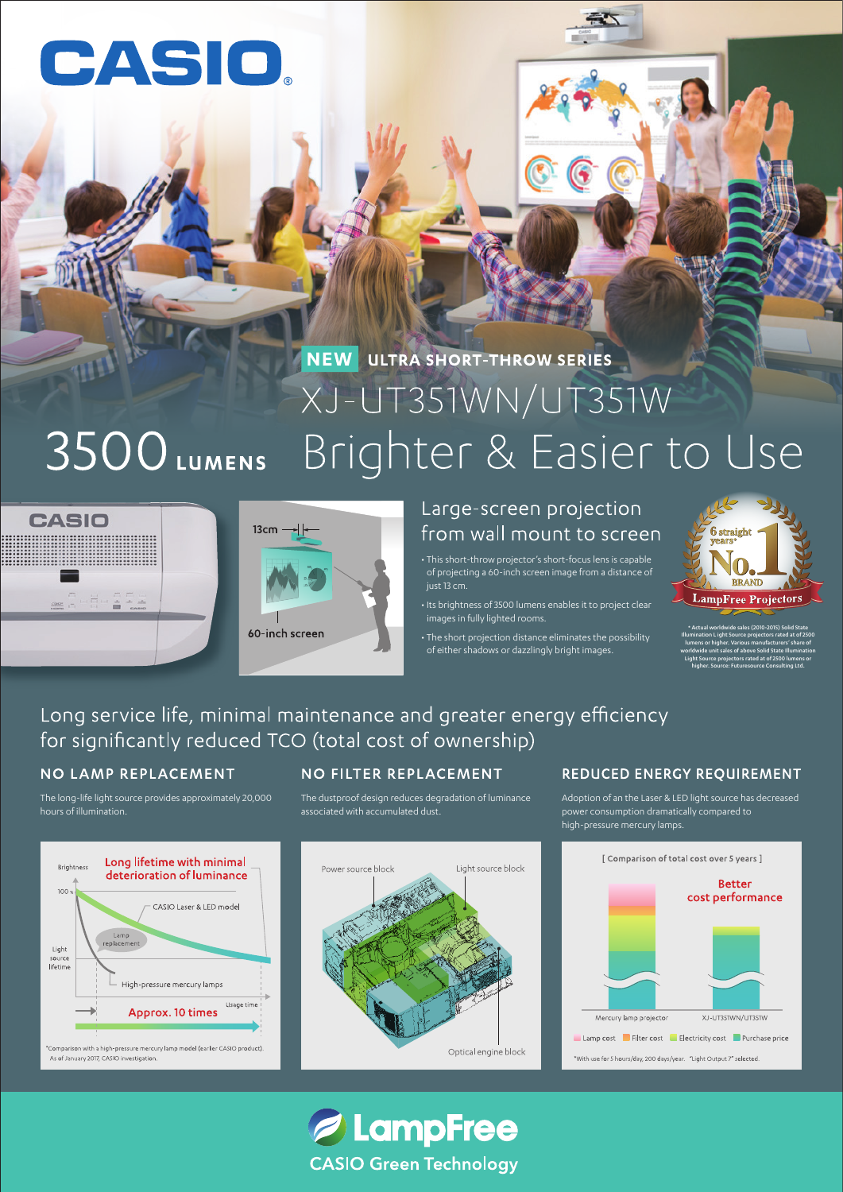# CASIO

# **NEW ULTRA SHORT-THROW SERIES** XJ-UT351WN/UT351W 3500 LUMENS Brighter & Easier to Use





# Large-screen projection from wall mount to screen

• This short-throw projector's short-focus lens is capable of projecting a 60-inch screen image from a distance of just 13 cm.

• Its brightness of 3500 lumens enables it to project clear images in fully lighted rooms.

• The short projection distance eliminates the possibility of either shadows or dazzlingly bright images.



\* Actual worldwide sales (2010-2015) Solid State Illumination L ight Source projectors rated at of 2500 lumens or higher. Various manufacturers' share of worldwide unit sales of above Solid State Illumination Light Source projectors rated at of 2500 lumens or higher. Source: Futuresource Consulting Ltd.

# Long service life, minimal maintenance and greater energy efficiency for significantly reduced TCO (total cost of ownership)

## NO LAMP REPLACEMENT

The long-life light source provides approximately 20,000 hours of illumination.



## **NO FILTER REPLACEMENT**

The dustproof design reduces degradation of luminance associated with accumulated dust.



*A* LampFree

**CASIO Green Technology** 

### **REDUCED ENERGY REQUIREMENT**

Adoption of an the Laser & LED light source has decreased power consumption dramatically compared to high-pressure mercury lamps.